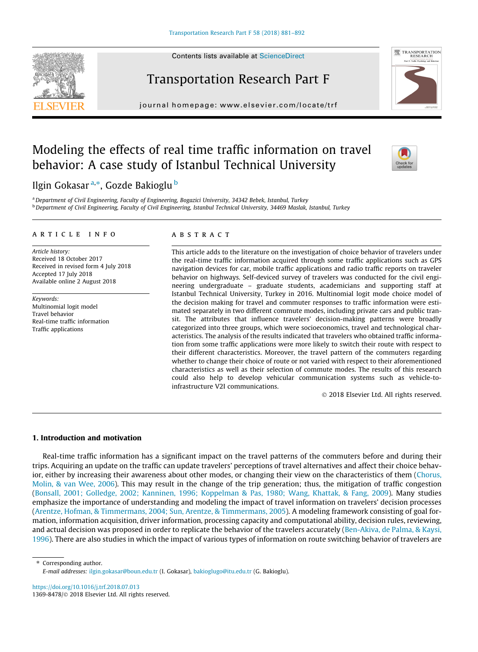# Transportation Research Part F

 $j$ ovate:  $\frac{1}{2}$  homepage: www.ele seviet.com/locate/traffice/traffice/traffice/traffice/traffice/traffice/traffice/traffice/traffice/traffice/traffice/traffice/traffice/traffice/traffice/traffice/traffice/traffice/tra

## Modeling the effects of real time traffic information on travel behavior: A case study of Istanbul Technical University

Ilgin Gokasar <sup>a,</sup>\*, Gozde Bakioglu <sup>b</sup>

a Department of Civil Engineering, Faculty of Engineering, Bogazici University, 34342 Bebek, Istanbul, Turkey **b** Department of Civil Engineering, Faculty of Civil Engineering, Istanbul Technical University, 34469 Maslak, Istanbul, Turkey

#### article info

Article history: Received 18 October 2017 Received in revised form 4 July 2018 Accepted 17 July 2018 Available online 2 August 2018

Keywords: Multinomial logit model Travel behavior Real-time traffic information Traffic applications

## **ABSTRACT**

This article adds to the literature on the investigation of choice behavior of travelers under the real-time traffic information acquired through some traffic applications such as GPS navigation devices for car, mobile traffic applications and radio traffic reports on traveler behavior on highways. Self-deviced survey of travelers was conducted for the civil engineering undergraduate – graduate students, academicians and supporting staff at Istanbul Technical University, Turkey in 2016. Multinomial logit mode choice model of the decision making for travel and commuter responses to traffic information were estimated separately in two different commute modes, including private cars and public transit. The attributes that influence travelers' decision-making patterns were broadly categorized into three groups, which were socioeconomics, travel and technological characteristics. The analysis of the results indicated that travelers who obtained traffic information from some traffic applications were more likely to switch their route with respect to their different characteristics. Moreover, the travel pattern of the commuters regarding whether to change their choice of route or not varied with respect to their aforementioned characteristics as well as their selection of commute modes. The results of this research could also help to develop vehicular communication systems such as vehicle-toinfrastructure V2I communications.

2018 Elsevier Ltd. All rights reserved.

## 1. Introduction and motivation

Real-time traffic information has a significant impact on the travel patterns of the commuters before and during their trips. Acquiring an update on the traffic can update travelers' perceptions of travel alternatives and affect their choice behavior, either by increasing their awareness about other modes, or changing their view on the characteristics of them ([Chorus,](#page-10-0) [Molin, & van Wee, 2006\)](#page-10-0). This may result in the change of the trip generation; thus, the mitigation of traffic congestion ([Bonsall, 2001; Golledge, 2002; Kanninen, 1996; Koppelman & Pas, 1980; Wang, Khattak, & Fang, 2009\)](#page-10-0). Many studies emphasize the importance of understanding and modeling the impact of travel information on travelers' decision processes ([Arentze, Hofman, & Timmermans, 2004; Sun, Arentze, & Timmermans, 2005\)](#page-10-0). A modeling framework consisting of goal formation, information acquisition, driver information, processing capacity and computational ability, decision rules, reviewing, and actual decision was proposed in order to replicate the behavior of the travelers accurately ([Ben-Akiva, de Palma, & Kaysi,](#page-10-0) [1996\)](#page-10-0). There are also studies in which the impact of various types of information on route switching behavior of travelers are

⇑ Corresponding author. E-mail addresses: [ilgin.gokasar@boun.edu.tr](mailto:ilgin.gokasar@boun.edu.tr) (I. Gokasar), [bakioglugo@itu.edu.tr](mailto:bakioglugo@itu.edu.tr) (G. Bakioglu).

<https://doi.org/10.1016/j.trf.2018.07.013> 1369-8478/ 2018 Elsevier Ltd. All rights reserved.





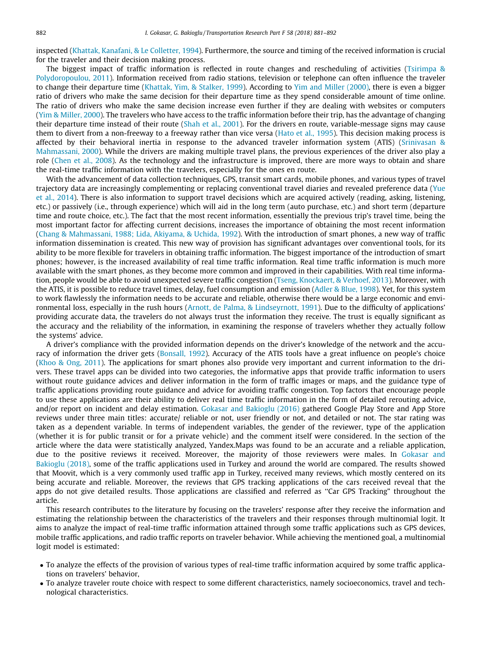inspected ([Khattak, Kanafani, & Le Colletter, 1994](#page-10-0)). Furthermore, the source and timing of the received information is crucial for the traveler and their decision making process.

The biggest impact of traffic information is reflected in route changes and rescheduling of activities [\(Tsirimpa &](#page-11-0) [Polydoropoulou, 2011](#page-11-0)). Information received from radio stations, television or telephone can often influence the traveler to change their departure time ([Khattak, Yim, & Stalker, 1999\)](#page-10-0). According to [Yim and Miller \(2000\)](#page-11-0), there is even a bigger ratio of drivers who make the same decision for their departure time as they spend considerable amount of time online. The ratio of drivers who make the same decision increase even further if they are dealing with websites or computers [\(Yim & Miller, 2000](#page-11-0)). The travelers who have access to the traffic information before their trip, has the advantage of changing their departure time instead of their route [\(Shah et al., 2001](#page-11-0)). For the drivers en route, variable-message signs may cause them to divert from a non-freeway to a freeway rather than vice versa ([Hato et al., 1995\)](#page-10-0). This decision making process is affected by their behavioral inertia in response to the advanced traveler information system (ATIS) ([Srinivasan &](#page-11-0) [Mahmassani, 2000](#page-11-0)). While the drivers are making multiple travel plans, the previous experiences of the driver also play a role [\(Chen et al., 2008\)](#page-10-0). As the technology and the infrastructure is improved, there are more ways to obtain and share the real-time traffic information with the travelers, especially for the ones en route.

With the advancement of data collection techniques, GPS, transit smart cards, mobile phones, and various types of travel trajectory data are increasingly complementing or replacing conventional travel diaries and revealed preference data [\(Yue](#page-11-0) [et al., 2014](#page-11-0)). There is also information to support travel decisions which are acquired actively (reading, asking, listening, etc.) or passively (i.e., through experience) which will aid in the long term (auto purchase, etc.) and short term (departure time and route choice, etc.). The fact that the most recent information, essentially the previous trip's travel time, being the most important factor for affecting current decisions, increases the importance of obtaining the most recent information [\(Chang & Mahmassani, 1988; Lida, Akiyama, & Uchida, 1992](#page-10-0)). With the introduction of smart phones, a new way of traffic information dissemination is created. This new way of provision has significant advantages over conventional tools, for its ability to be more flexible for travelers in obtaining traffic information. The biggest importance of the introduction of smart phones; however, is the increased availability of real time traffic information. Real time traffic information is much more available with the smart phones, as they become more common and improved in their capabilities. With real time information, people would be able to avoid unexpected severe traffic congestion [\(Tseng, Knockaert, & Verhoef, 2013\)](#page-11-0). Moreover, with the ATIS, it is possible to reduce travel times, delay, fuel consumption and emission ([Adler & Blue, 1998](#page-10-0)). Yet, for this system to work flawlessly the information needs to be accurate and reliable, otherwise there would be a large economic and environmental loss, especially in the rush hours ([Arnott, de Palma, & Lindseyrnott, 1991](#page-10-0)). Due to the difficulty of applications' providing accurate data, the travelers do not always trust the information they receive. The trust is equally significant as the accuracy and the reliability of the information, in examining the response of travelers whether they actually follow the systems' advice.

A driver's compliance with the provided information depends on the driver's knowledge of the network and the accuracy of information the driver gets [\(Bonsall, 1992\)](#page-10-0). Accuracy of the ATIS tools have a great influence on people's choice [\(Khoo & Ong, 2011](#page-10-0)). The applications for smart phones also provide very important and current information to the drivers. These travel apps can be divided into two categories, the informative apps that provide traffic information to users without route guidance advices and deliver information in the form of traffic images or maps, and the guidance type of traffic applications providing route guidance and advice for avoiding traffic congestion. Top factors that encourage people to use these applications are their ability to deliver real time traffic information in the form of detailed rerouting advice, and/or report on incident and delay estimation. [Gokasar and Bakioglu \(2016\)](#page-10-0) gathered Google Play Store and App Store reviews under three main titles: accurate/ reliable or not, user friendly or not, and detailed or not. The star rating was taken as a dependent variable. In terms of independent variables, the gender of the reviewer, type of the application (whether it is for public transit or for a private vehicle) and the comment itself were considered. In the section of the article where the data were statistically analyzed, Yandex.Maps was found to be an accurate and a reliable application, due to the positive reviews it received. Moreover, the majority of those reviewers were males. In [Gokasar and](#page-10-0) [Bakioglu \(2018\),](#page-10-0) some of the traffic applications used in Turkey and around the world are compared. The results showed that Moovit, which is a very commonly used traffic app in Turkey, received many reviews, which mostly centered on its being accurate and reliable. Moreover, the reviews that GPS tracking applications of the cars received reveal that the apps do not give detailed results. Those applications are classified and referred as ''Car GPS Tracking" throughout the article.

This research contributes to the literature by focusing on the travelers' response after they receive the information and estimating the relationship between the characteristics of the travelers and their responses through multinomial logit. It aims to analyze the impact of real-time traffic information attained through some traffic applications such as GPS devices, mobile traffic applications, and radio traffic reports on traveler behavior. While achieving the mentioned goal, a multinomial logit model is estimated:

- To analyze the effects of the provision of various types of real-time traffic information acquired by some traffic applications on travelers' behavior,
- To analyze traveler route choice with respect to some different characteristics, namely socioeconomics, travel and technological characteristics.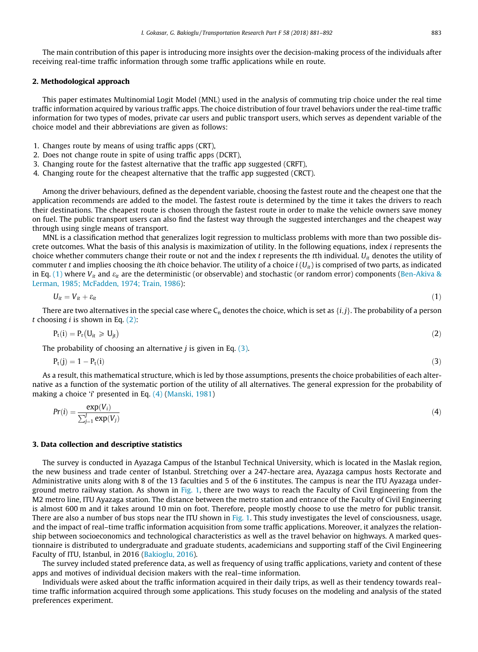The main contribution of this paper is introducing more insights over the decision-making process of the individuals after receiving real-time traffic information through some traffic applications while en route.

#### 2. Methodological approach

This paper estimates Multinomial Logit Model (MNL) used in the analysis of commuting trip choice under the real time traffic information acquired by various traffic apps. The choice distribution of four travel behaviors under the real-time traffic information for two types of modes, private car users and public transport users, which serves as dependent variable of the choice model and their abbreviations are given as follows:

- 1. Changes route by means of using traffic apps (CRT),
- 2. Does not change route in spite of using traffic apps (DCRT),
- 3. Changing route for the fastest alternative that the traffic app suggested (CRFT),
- 4. Changing route for the cheapest alternative that the traffic app suggested (CRCT).

Among the driver behaviours, defined as the dependent variable, choosing the fastest route and the cheapest one that the application recommends are added to the model. The fastest route is determined by the time it takes the drivers to reach their destinations. The cheapest route is chosen through the fastest route in order to make the vehicle owners save money on fuel. The public transport users can also find the fastest way through the suggested interchanges and the cheapest way through using single means of transport.

MNL is a classification method that generalizes logit regression to multiclass problems with more than two possible discrete outcomes. What the basis of this analysis is maximization of utility. In the following equations, index i represents the choice whether commuters change their route or not and the index t represents the tth individual.  $U_{it}$  denotes the utility of commuter t and implies choosing the ith choice behavior. The utility of a choice  $i(U_{it})$  is comprised of two parts, as indicated in Eq. (1) where  $V_{it}$  and  $\varepsilon_{it}$  are the deterministic (or observable) and stochastic (or random error) components ([Ben-Akiva &](#page-10-0) [Lerman, 1985; McFadden, 1974; Train, 1986\)](#page-10-0):

$$
U_{it} = V_{it} + \varepsilon_{it} \tag{1}
$$

There are two alternatives in the special case where  $C_n$  denotes the choice, which is set as  $\{i, j\}$ . The probability of a person t choosing  $i$  is shown in Eq. (2):

$$
P_t(i) = P_r(U_{it} \geq U_{jt})
$$
\n(2)

The probability of choosing an alternative  $j$  is given in Eq.  $(3)$ .

$$
P_t(j) = 1 - P_t(i) \tag{3}
$$

As a result, this mathematical structure, which is led by those assumptions, presents the choice probabilities of each alternative as a function of the systematic portion of the utility of all alternatives. The general expression for the probability of making a choice 'i' presented in Eq. (4) ([Manski, 1981\)](#page-10-0)

$$
Pr(i) = \frac{\exp(V_i)}{\sum_{j=1}^{J} \exp(V_j)}
$$
(4)

#### 3. Data collection and descriptive statistics

The survey is conducted in Ayazaga Campus of the Istanbul Technical University, which is located in the Maslak region, the new business and trade center of Istanbul. Stretching over a 247-hectare area, Ayazaga campus hosts Rectorate and Administrative units along with 8 of the 13 faculties and 5 of the 6 institutes. The campus is near the ITU Ayazaga underground metro railway station. As shown in [Fig. 1](#page-3-0), there are two ways to reach the Faculty of Civil Engineering from the M2 metro line, ITU Ayazaga station. The distance between the metro station and entrance of the Faculty of Civil Engineering is almost 600 m and it takes around 10 min on foot. Therefore, people mostly choose to use the metro for public transit. There are also a number of bus stops near the ITU shown in [Fig. 1.](#page-3-0) This study investigates the level of consciousness, usage, and the impact of real–time traffic information acquisition from some traffic applications. Moreover, it analyzes the relationship between socioeconomics and technological characteristics as well as the travel behavior on highways. A marked questionnaire is distributed to undergraduate and graduate students, academicians and supporting staff of the Civil Engineering Faculty of ITU, Istanbul, in 2016 [\(Bakioglu, 2016](#page-10-0)).

The survey included stated preference data, as well as frequency of using traffic applications, variety and content of these apps and motives of individual decision makers with the real–time information.

Individuals were asked about the traffic information acquired in their daily trips, as well as their tendency towards real– time traffic information acquired through some applications. This study focuses on the modeling and analysis of the stated preferences experiment.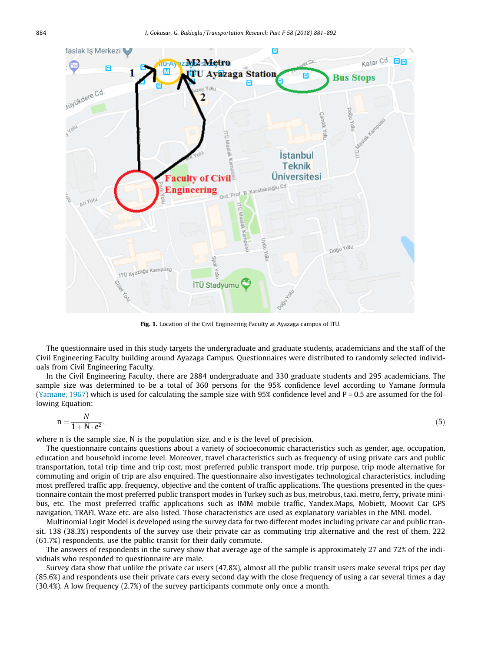<span id="page-3-0"></span>

Fig. 1. Location of the Civil Engineering Faculty at Ayazaga campus of ITU.

The questionnaire used in this study targets the undergraduate and graduate students, academicians and the staff of the Civil Engineering Faculty building around Ayazaga Campus. Questionnaires were distributed to randomly selected individuals from Civil Engineering Faculty.

In the Civil Engineering Faculty, there are 2884 undergraduate and 330 graduate students and 295 academicians. The sample size was determined to be a total of 360 persons for the 95% confidence level according to Yamane formula [\(Yamane, 1967\)](#page-11-0) which is used for calculating the sample size with 95% confidence level and P = 0.5 are assumed for the following Equation:

$$
n = \frac{N}{1 + N \cdot e^2},\tag{5}
$$

where n is the sample size, N is the population size, and e is the level of precision.

The questionnaire contains questions about a variety of socioeconomic characteristics such as gender, age, occupation, education and household income level. Moreover, travel characteristics such as frequency of using private cars and public transportation, total trip time and trip cost, most preferred public transport mode, trip purpose, trip mode alternative for commuting and origin of trip are also enquired. The questionnaire also investigates technological characteristics, including most preffered traffic app, frequency, objective and the content of traffic applications. The questions presented in the questionnaire contain the most preferred public transport modes in Turkey such as bus, metrobus, taxi, metro, ferry, private minibus, etc. The most preferred traffic applications such as IMM mobile traffic, Yandex.Maps, Mobiett, Moovit Car GPS navigation, TRAFI, Waze etc. are also listed. Those characteristics are used as explanatory variables in the MNL model.

Multinomial Logit Model is developed using the survey data for two different modes including private car and public transit. 138 (38.3%) respondents of the survey use their private car as commuting trip alternative and the rest of them, 222 (61.7%) respondents, use the public transit for their daily commute.

The answers of respondents in the survey show that average age of the sample is approximately 27 and 72% of the individuals who responded to questionnaire are male.

Survey data show that unlike the private car users (47.8%), almost all the public transit users make several trips per day (85.6%) and respondents use their private cars every second day with the close frequency of using a car several times a day (30.4%). A low frequency (2.7%) of the survey participants commute only once a month.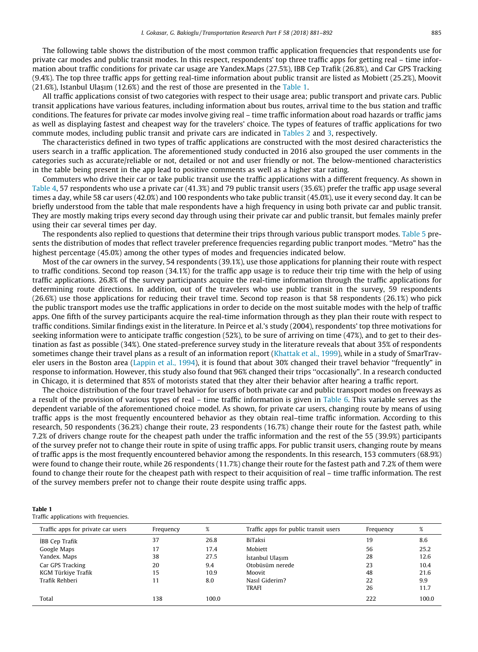The following table shows the distribution of the most common traffic application frequencies that respondents use for private car modes and public transit modes. In this respect, respondents' top three traffic apps for getting real – time information about traffic conditions for private car usage are Yandex.Maps (27.5%), IBB Cep Trafik (26.8%), and Car GPS Tracking (9.4%). The top three traffic apps for getting real-time information about public transit are listed as Mobiett (25.2%), Moovit (21.6%), Istanbul Ulasım (12.6%) and the rest of those are presented in the Table 1.

All traffic applications consist of two categories with respect to their usage area; public transport and private cars. Public transit applications have various features, including information about bus routes, arrival time to the bus station and traffic conditions. The features for private car modes involve giving real – time traffic information about road hazards or traffic jams as well as displaying fastest and cheapest way for the travelers' choice. The types of features of traffic applications for two commute modes, including public transit and private cars are indicated in [Tables 2](#page-5-0) and [3,](#page-5-0) respectively.

The characteristics defined in two types of traffic applications are constructed with the most desired characteristics the users search in a traffic application. The aforementioned study conducted in 2016 also grouped the user comments in the categories such as accurate/reliable or not, detailed or not and user friendly or not. The below-mentioned characteristics in the table being present in the app lead to positive comments as well as a higher star rating.

Commuters who drive their car or take public transit use the traffic applications with a different frequency. As shown in [Table 4](#page-5-0), 57 respondents who use a private car (41.3%) and 79 public transit users (35.6%) prefer the traffic app usage several times a day, while 58 car users (42.0%) and 100 respondents who take public transit (45.0%), use it every second day. It can be briefly understood from the table that male respondents have a high frequency in using both private car and public transit. They are mostly making trips every second day through using their private car and public transit, but females mainly prefer using their car several times per day.

The respondents also replied to questions that determine their trips through various public transport modes. [Table 5](#page-5-0) presents the distribution of modes that reflect traveler preference frequencies regarding public tranport modes. ''Metro" has the highest percentage (45.0%) among the other types of modes and frequencies indicated below.

Most of the car owners in the survey, 54 respondents (39.1%), use those applications for planning their route with respect to traffic conditions. Second top reason (34.1%) for the traffic app usage is to reduce their trip time with the help of using traffic applications. 26.8% of the survey participants acquire the real-time information through the traffic applications for determining route directions. In addition, out of the travelers who use public transit in the survey, 59 respondents (26.6%) use those applications for reducing their travel time. Second top reason is that 58 respondents (26.1%) who pick the public transport modes use the traffic applications in order to decide on the most suitable modes with the help of traffic apps. One fifth of the survey participants acquire the real-time information through as they plan their route with respect to traffic conditions. Similar findings exist in the literature. In Peirce et al.'s study (2004), respondents' top three motivations for seeking information were to anticipate traffic congestion (52%), to be sure of arriving on time (47%), and to get to their destination as fast as possible (34%). One stated-preference survey study in the literature reveals that about 35% of respondents sometimes change their travel plans as a result of an information report [\(Khattak et al., 1999\)](#page-10-0), while in a study of SmarTraveler users in the Boston area ([Lappin et al., 1994](#page-10-0)), it is found that about 30% changed their travel behavior ''frequently" in response to information. However, this study also found that 96% changed their trips ''occasionally". In a research conducted in Chicago, it is determined that 85% of motorists stated that they alter their behavior after hearing a traffic report.

The choice distribution of the four travel behavior for users of both private car and public transport modes on freeways as a result of the provision of various types of real – time traffic information is given in [Table 6.](#page-5-0) This variable serves as the dependent variable of the aforementioned choice model. As shown, for private car users, changing route by means of using traffic apps is the most frequently encountered behavior as they obtain real–time traffic information. According to this research, 50 respondents (36.2%) change their route, 23 respondents (16.7%) change their route for the fastest path, while 7.2% of drivers change route for the cheapest path under the traffic information and the rest of the 55 (39.9%) participants of the survey prefer not to change their route in spite of using traffic apps. For public transit users, changing route by means of traffic apps is the most frequently encountered behavior among the respondents. In this research, 153 commuters (68.9%) were found to change their route, while 26 respondents (11.7%) change their route for the fastest path and 7.2% of them were found to change their route for the cheapest path with respect to their acquisition of real – time traffic information. The rest of the survey members prefer not to change their route despite using traffic apps.

| Table 1                                |  |
|----------------------------------------|--|
| Traffic applications with frequencies. |  |

| Traffic apps for private car users | Frequency | %     | Traffic apps for public transit users | Frequency | %     |
|------------------------------------|-----------|-------|---------------------------------------|-----------|-------|
| IBB Cep Trafik                     | 37        | 26.8  | BiTaksi                               | 19        | 8.6   |
| Google Maps                        | 17        | 17.4  | Mobiett                               | 56        | 25.2  |
| Yandex. Maps                       | 38        | 27.5  | İstanbul Ulaşım                       | 28        | 12.6  |
| Car GPS Tracking                   | 20        | 9.4   | Otobüsüm nerede                       | 23        | 10.4  |
| KGM Türkiye Trafik                 | 15        | 10.9  | Moovit                                | 48        | 21.6  |
| Trafik Rehberi                     | 11        | 8.0   | Nasıl Giderim?                        | 22        | 9.9   |
|                                    |           |       | <b>TRAFI</b>                          | 26        | 11.7  |
| Total                              | 138       | 100.0 |                                       | 222       | 100.0 |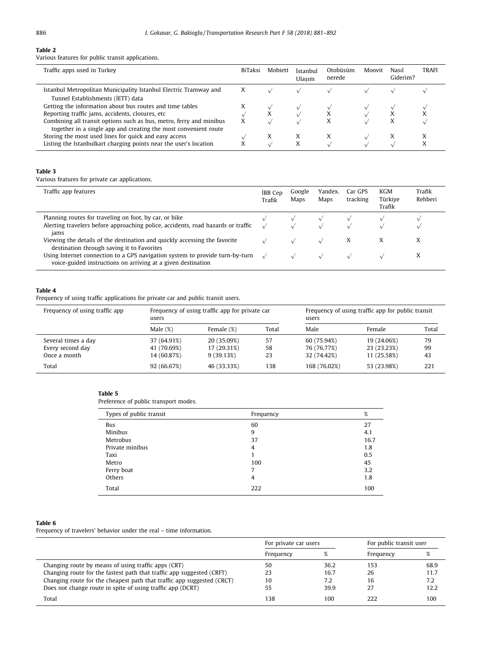### <span id="page-5-0"></span>Table 2

Various features for public transit applications.

| Traffic apps used in Turkey                                                                                                            | <b>BiTaksi</b> | Mobiett | İstanbul<br>Ulasım | Otobüsüm<br>nerede | Moovit | Nasil<br>Giderim? | <b>TRAFI</b> |
|----------------------------------------------------------------------------------------------------------------------------------------|----------------|---------|--------------------|--------------------|--------|-------------------|--------------|
| Istanbul Metropolitan Municipality Istanbul Electric Tramway and<br>Tunnel Establishments (IETT) data                                  | X              |         |                    |                    |        |                   |              |
| Getting the information about bus routes and time tables                                                                               |                |         |                    |                    |        |                   |              |
| Reporting traffic jams, accidents, closures, etc                                                                                       |                | X       |                    |                    |        |                   |              |
| Combining all transit options such as bus, metro, ferry and minibus<br>together in a single app and creating the most convenient route |                |         |                    | Х                  |        | X                 |              |
| Storing the most used lines for quick and easy access                                                                                  |                | X       |                    | x                  |        |                   |              |
| Listing the Istanbulkart charging points near the user's location                                                                      |                |         |                    |                    |        |                   |              |

#### Table 3

Various features for private car applications.

| Traffic app features                                                                                                                               | <b>IBB</b> Cep<br>Trafik | Google<br>Maps | Yandex.<br>Maps | Car GPS<br>tracking | KGM<br>Türkive<br>Trafik | Trafik<br>Rehberi |
|----------------------------------------------------------------------------------------------------------------------------------------------------|--------------------------|----------------|-----------------|---------------------|--------------------------|-------------------|
| Planning routes for traveling on foot, by car, or bike<br>Alerting travelers before approaching police, accidents, road hazards or traffic<br>jams |                          |                |                 |                     |                          |                   |
| Viewing the details of the destination and quickly accessing the favorite<br>destination through saving it to Favorites                            |                          |                |                 | X                   | X                        | x                 |
| Using Internet connection to a GPS navigation system to provide turn-by-turn<br>voice-guided instructions on arriving at a given destination       |                          |                |                 |                     |                          | л                 |

#### Table 4

Frequency of using traffic applications for private car and public transit users.

| Frequency of using traffic app | users       | Frequency of using traffic app for private car<br>users |       | Frequency of using traffic app for public transit |             |       |
|--------------------------------|-------------|---------------------------------------------------------|-------|---------------------------------------------------|-------------|-------|
|                                | Male $(\%)$ | Female (%)                                              | Total | Male                                              | Female      | Total |
| Several times a day            | 37 (64.91%) | 20 (35.09%)                                             | 57    | 60 (75.94%)                                       | 19 (24.06%) | 79    |
| Every second day               | 41 (70.69%) | 17 (29.31%)                                             | 58    | 76 (76.77%)                                       | 23 (23.23%) | 99    |
| Once a month                   | 14 (60.87%) | 9(39.13%)                                               | 23    | 32 (74.42%)                                       | 11 (25.58%) | 43    |
| Total                          | 92 (66.67%) | 46 (33.33%)                                             | 138   | 168 (76.02%)                                      | 53 (23.98%) | 221   |

#### Table 5

Preference of public transport modes.

| Types of public transit | Frequency | %    |
|-------------------------|-----------|------|
| Bus                     | 60        | 27   |
| Minibus                 | 9         | 4.1  |
| Metrobus                | 37        | 16.7 |
| Private minibus         | 4         | 1.8  |
| Taxi                    |           | 0.5  |
| Metro                   | 100       | 45   |
| Ferry boat              | 7         | 3.2  |
| Others                  | 4         | 1.8  |
| Total                   | 222       | 100  |

## Table 6

Frequency of travelers' behavior under the real – time information.

|                                                                        | For private car users |      | For public transit user |      |
|------------------------------------------------------------------------|-----------------------|------|-------------------------|------|
|                                                                        | Frequency             |      | Frequency               |      |
| Changing route by means of using traffic apps (CRT)                    | 50                    | 36.2 | 153                     | 68.9 |
| Changing route for the fastest path that traffic app suggested (CRFT)  | 23                    | 16.7 | 26                      | 11.7 |
| Changing route for the cheapest path that traffic app suggested (CRCT) | 10                    | 7.2  | 16                      | 7.2  |
| Does not change route in spite of using traffic app (DCRT)             | 55                    | 39.9 | 27                      | 12.2 |
| Total                                                                  | 138                   | 100  | 222                     | 100  |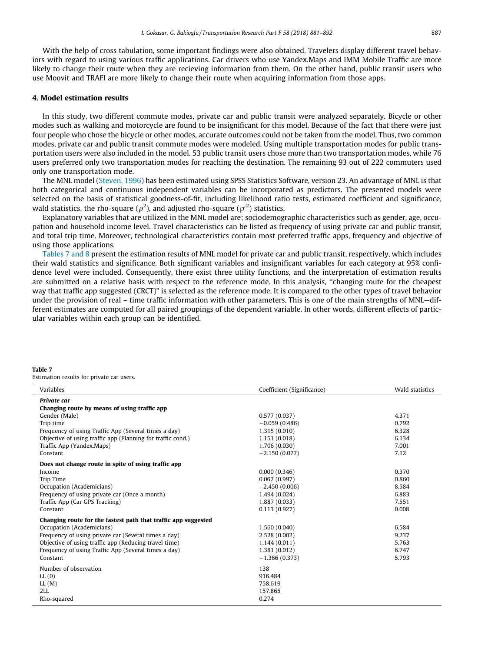<span id="page-6-0"></span>With the help of cross tabulation, some important findings were also obtained. Travelers display different travel behaviors with regard to using various traffic applications. Car drivers who use Yandex.Maps and IMM Mobile Traffic are more likely to change their route when they are recieving information from them. On the other hand, public transit users who use Moovit and TRAFI are more likely to change their route when acquiring information from those apps.

## 4. Model estimation results

In this study, two different commute modes, private car and public transit were analyzed separately. Bicycle or other modes such as walking and motorcycle are found to be insignificant for this model. Because of the fact that there were just four people who chose the bicycle or other modes, accurate outcomes could not be taken from the model. Thus, two common modes, private car and public transit commute modes were modeled. Using multiple transportation modes for public transportation users were also included in the model. 53 public transit users chose more than two transportation modes, while 76 users preferred only two transportation modes for reaching the destination. The remaining 93 out of 222 commuters used only one transportation mode.

The MNL model ([Steven, 1996\)](#page-11-0) has been estimated using SPSS Statistics Software, version 23. An advantage of MNL is that both categorical and continuous independent variables can be incorporated as predictors. The presented models were selected on the basis of statistical goodness-of-fit, including likelihood ratio tests, estimated coefficient and significance, wald statistics, the rho-square ( $\rho^2$ ), and adjusted rho-square ( $\rho'^2$ ) statistics.

Explanatory variables that are utilized in the MNL model are; sociodemographic characteristics such as gender, age, occupation and household income level. Travel characteristics can be listed as frequency of using private car and public transit, and total trip time. Moreover, technological characteristics contain most preferred traffic apps, frequency and objective of using those applications.

Tables 7 and 8 present the estimation results of MNL model for private car and public transit, respectively, which includes their wald statistics and significance. Both significant variables and insignificant variables for each category at 95% confidence level were included. Consequently, there exist three utility functions, and the interpretation of estimation results are submitted on a relative basis with respect to the reference mode. In this analysis, ''changing route for the cheapest way that traffic app suggested (CRCT)" is selected as the reference mode. It is compared to the other types of travel behavior under the provision of real – time traffic information with other parameters. This is one of the main strengths of MNL—different estimates are computed for all paired groupings of the dependent variable. In other words, different effects of particular variables within each group can be identified.

#### Table 7

Estimation results for private car users.

| Variables                                                      | Coefficient (Significance) | Wald statistics |
|----------------------------------------------------------------|----------------------------|-----------------|
| Private car<br>Changing route by means of using traffic app    |                            |                 |
| Gender (Male)                                                  | 0.577(0.037)               | 4.371           |
| Trip time                                                      | $-0.059(0.486)$            | 0.792           |
| Frequency of using Traffic App (Several times a day)           | 1.315(0.010)               | 6.328           |
| Objective of using traffic app (Planning for traffic cond.)    | 1.151(0.018)               | 6.134           |
| Traffic App (Yandex, Maps)                                     | 1.706 (0.030)              | 7.001           |
| Constant                                                       | $-2.150(0.077)$            | 7.12            |
| Does not change route in spite of using traffic app            |                            |                 |
| Income                                                         | 0.000(0.346)               | 0.370           |
| Trip Time                                                      | 0.067(0.997)               | 0.860           |
| Occupation (Academicians)                                      | $-2.450(0.006)$            | 8.584           |
| Frequency of using private car (Once a month)                  | 1.494 (0.024)              | 6.883           |
| Traffic App (Car GPS Tracking)                                 | 1.887 (0.033)              | 7.551           |
| Constant                                                       | 0.113(0.927)               | 0.008           |
| Changing route for the fastest path that traffic app suggested |                            |                 |
| Occupation (Academicians)                                      | 1.560(0.040)               | 6.584           |
| Frequency of using private car (Several times a day)           | 2.528 (0.002)              | 9.237           |
| Objective of using traffic app (Reducing travel time)          | 1.144(0.011)               | 5.763           |
| Frequency of using Traffic App (Several times a day)           | 1.381 (0.012)              | 6.747           |
| Constant                                                       | $-1.366(0.373)$            | 5.793           |
| Number of observation                                          | 138                        |                 |
| LL(0)                                                          | 916.484                    |                 |
| LL(M)                                                          | 758.619                    |                 |
| 2LL                                                            | 157.865                    |                 |
| Rho-squared                                                    | 0.274                      |                 |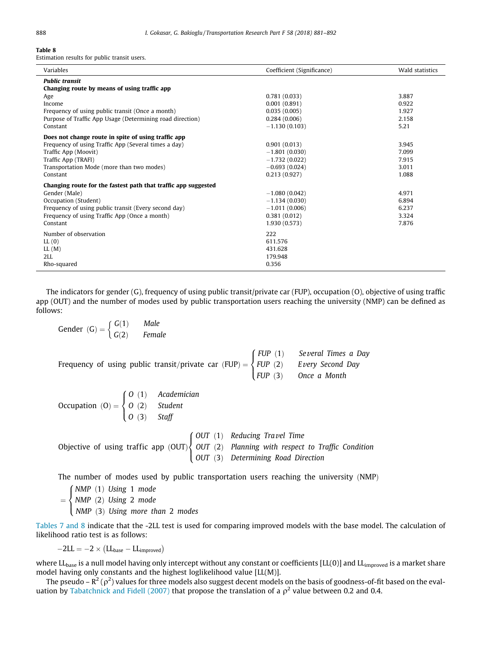#### Table 8

Estimation results for public transit users.

| Variables                                                             | Coefficient (Significance) | Wald statistics |
|-----------------------------------------------------------------------|----------------------------|-----------------|
| <b>Public transit</b><br>Changing route by means of using traffic app |                            |                 |
| Age                                                                   | 0.781(0.033)               | 3.887           |
| Income                                                                | 0.001(0.891)               | 0.922           |
| Frequency of using public transit (Once a month)                      | 0.035(0.005)               | 1.927           |
| Purpose of Traffic App Usage (Determining road direction)             | 0.284(0.006)               | 2.158           |
| Constant                                                              | $-1.130(0.103)$            | 5.21            |
| Does not change route in spite of using traffic app                   |                            |                 |
| Frequency of using Traffic App (Several times a day)                  | 0.901(0.013)               | 3.945           |
| Traffic App (Moovit)                                                  | $-1.801(0.030)$            | 7.099           |
| Traffic App (TRAFI)                                                   | $-1.732(0.022)$            | 7.915           |
| Transportation Mode (more than two modes)                             | $-0.693(0.024)$            | 3.011           |
| Constant                                                              | 0.213(0.927)               | 1.088           |
| Changing route for the fastest path that traffic app suggested        |                            |                 |
| Gender (Male)                                                         | $-1.080(0.042)$            | 4.971           |
| Occupation (Student)                                                  | $-1.134(0.030)$            | 6.894           |
| Frequency of using public transit (Every second day)                  | $-1.011(0.006)$            | 6.237           |
| Frequency of using Traffic App (Once a month)                         | 0.381(0.012)               | 3.324           |
| Constant                                                              | 1.930 (0.573)              | 7.876           |
| Number of observation                                                 | 222                        |                 |
| LL(0)                                                                 | 611.576                    |                 |
| LL(M)                                                                 | 431.628                    |                 |
| 2LL                                                                   | 179.948                    |                 |
| Rho-squared                                                           | 0.356                      |                 |

The indicators for gender (G), frequency of using public transit/private car (FUP), occupation (O), objective of using traffic app (OUT) and the number of modes used by public transportation users reaching the university (NMP) can be defined as follows:

Gender (G) =

\n
$$
\begin{cases}\nG(1) & \text{Male} \\
G(2) & \text{Female}\n\end{cases}
$$
\nFrequency of using public transit/private car (FUP) =

\n
$$
\begin{cases}\nFUP(1) & \text{Several Times a Day}}{FUP(2)} \\
FUP(2) & \text{Every Second Day}} \\
FUP(3) & \text{Once a Month}\n\end{cases}
$$
\nOccipation (O) =

\n
$$
\begin{cases}\nO(1) & \text{Academician} \\
O(2) & \text{Student} \\
O(3) & \text{Staff}\n\end{cases}
$$
\nObjective of using traffic app (OUT)

\n
$$
\begin{cases}\nOUT(1) & \text{Reducing Travel Time} \\
OUT(2) & \text{Planning with respect to Traffic Condition} \\
OUT(3) & \text{Determining Road Direction}\n\end{cases}
$$

The number of modes used by public transportation users reaching the university  $(NMP)$ 

NMP (1) Using 1 mode<br>NMP (3) Using 3 mode NMP (2) Using 2 mode<br>NMP (3) Using mann th  $NMP$   $(3)$  Using more than 2 modes  $\int$  $\downarrow$ 

[Tables 7 and 8](#page-6-0) indicate that the -2LL test is used for comparing improved models with the base model. The calculation of likelihood ratio test is as follows:

 $-2LL = -2 \times (LL_{base} - LL_{improved})$ 

where  $LL_{base}$  is a null model having only intercept without any constant or coefficients  $[LL(0)]$  and  $LL_{improved}$  is a market share model having only constants and the highest loglikelihood value [LL(M)].

The pseudo – R $^2$  (  $\rho^2$  ) values for three models also suggest decent models on the basis of goodness-of-fit based on the eval-uation by [Tabatchnick and Fidell \(2007\)](#page-11-0) that propose the translation of a  $\rho^2$  value between 0.2 and 0.4.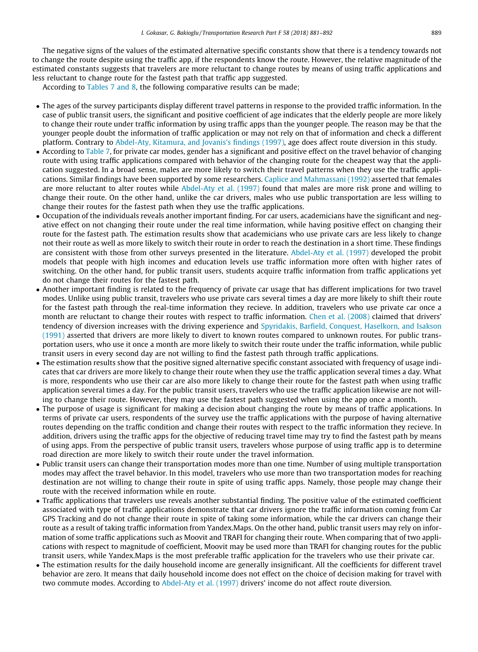The negative signs of the values of the estimated alternative specific constants show that there is a tendency towards not to change the route despite using the traffic app, if the respondents know the route. However, the relative magnitude of the estimated constants suggests that travelers are more reluctant to change routes by means of using traffic applications and less reluctant to change route for the fastest path that traffic app suggested.

According to [Tables 7 and 8,](#page-6-0) the following comparative results can be made;

- The ages of the survey participants display different travel patterns in response to the provided traffic information. In the case of public transit users, the significant and positive coefficient of age indicates that the elderly people are more likely to change their route under traffic information by using traffic apps than the younger people. The reason may be that the younger people doubt the information of traffic application or may not rely on that of information and check a different platform. Contrary to [Abdel-Aty, Kitamura, and Jovanis's findings \(1997\),](#page-10-0) age does affect route diversion in this study.
- According to [Table 7](#page-6-0), for private car modes, gender has a significant and positive effect on the travel behavior of changing route with using traffic applications compared with behavior of the changing route for the cheapest way that the application suggested. In a broad sense, males are more likely to switch their travel patterns when they use the traffic applications. Similar findings have been supported by some researchers. [Caplice and Mahmassani \(1992\)](#page-10-0) asserted that females are more reluctant to alter routes while [Abdel-Aty et al. \(1997\)](#page-10-0) found that males are more risk prone and willing to change their route. On the other hand, unlike the car drivers, males who use public transportation are less willing to change their routes for the fastest path when they use the traffic applications.
- Occupation of the individuals reveals another important finding. For car users, academicians have the significant and negative effect on not changing their route under the real time information, while having positive effect on changing their route for the fastest path. The estimation results show that academicians who use private cars are less likely to change not their route as well as more likely to switch their route in order to reach the destination in a short time. These findings are consistent with those from other surveys presented in the literature. [Abdel-Aty et al. \(1997\)](#page-10-0) developed the probit models that people with high incomes and education levels use traffic information more often with higher rates of switching. On the other hand, for public transit users, students acquire traffic information from traffic applications yet do not change their routes for the fastest path.
- Another important finding is related to the frequency of private car usage that has different implications for two travel modes. Unlike using public transit, travelers who use private cars several times a day are more likely to shift their route for the fastest path through the real-time information they recieve. In addition, travelers who use private car once a month are reluctant to change their routes with respect to traffic information. [Chen et al. \(2008\)](#page-10-0) claimed that drivers' tendency of diversion increases with the driving experience and [Spyridakis, Barfield, Conquest, Haselkorn, and Isakson](#page-11-0) [\(1991\)](#page-11-0) asserted that drivers are more likely to divert to known routes compared to unknown routes. For public transportation users, who use it once a month are more likely to switch their route under the traffic information, while public transit users in every second day are not willing to find the fastest path through traffic applications.
- The estimation results show that the positive signed alternative specific constant associated with frequency of usage indicates that car drivers are more likely to change their route when they use the traffic application several times a day. What is more, respondents who use their car are also more likely to change their route for the fastest path when using traffic application several times a day. For the public transit users, travelers who use the traffic application likewise are not willing to change their route. However, they may use the fastest path suggested when using the app once a month.
- The purpose of usage is significant for making a decision about changing the route by means of traffic applications. In terms of private car users, respondents of the survey use the traffic applications with the purpose of having alternative routes depending on the traffic condition and change their routes with respect to the traffic information they recieve. In addition, drivers using the traffic apps for the objective of reducing travel time may try to find the fastest path by means of using apps. From the perspective of public transit users, travelers whose purpose of using traffic app is to determine road direction are more likely to switch their route under the travel information.
- Public transit users can change their transportation modes more than one time. Number of using multiple transportation modes may affect the travel behavior. In this model, travelers who use more than two transportation modes for reaching destination are not willing to change their route in spite of using traffic apps. Namely, those people may change their route with the received information while en route.
- Traffic applications that travelers use reveals another substantial finding. The positive value of the estimated coefficient associated with type of traffic applications demonstrate that car drivers ignore the traffic information coming from Car GPS Tracking and do not change their route in spite of taking some information, while the car drivers can change their route as a result of taking traffic information from Yandex.Maps. On the other hand, public transit users may rely on information of some traffic applications such as Moovit and TRAFI for changing their route. When comparing that of two applications with respect to magnitude of coefficient, Moovit may be used more than TRAFI for changing routes for the public transit users, while Yandex.Maps is the most preferable traffic application for the travelers who use their private car.
- The estimation results for the daily household income are generally insignificant. All the coefficients for different travel behavior are zero. It means that daily household income does not effect on the choice of decision making for travel with two commute modes. According to [Abdel-Aty et al. \(1997\)](#page-10-0) drivers' income do not affect route diversion.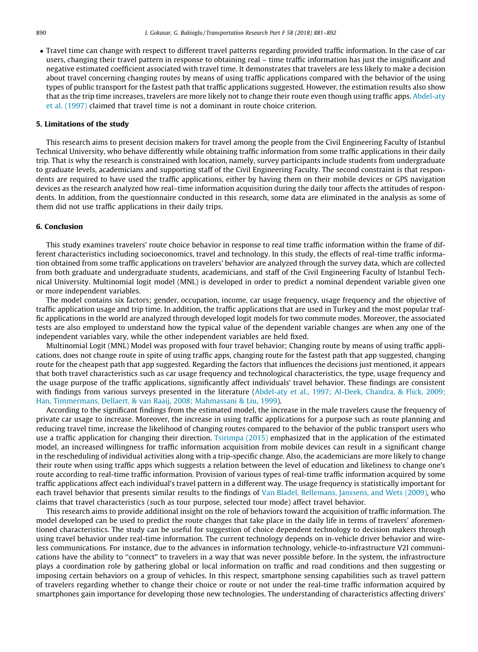Travel time can change with respect to different travel patterns regarding provided traffic information. In the case of car users, changing their travel pattern in response to obtaining real – time traffic information has just the insignificant and negative estimated coefficient associated with travel time. It demonstrates that travelers are less likely to make a decision about travel concerning changing routes by means of using traffic applications compared with the behavior of the using types of public transport for the fastest path that traffic applications suggested. However, the estimation results also show that as the trip time increases, travelers are more likely not to change their route even though using traffic apps. [Abdel-aty](#page-10-0) [et al. \(1997\)](#page-10-0) claimed that travel time is not a dominant in route choice criterion.

## 5. Limitations of the study

This research aims to present decision makers for travel among the people from the Civil Engineering Faculty of Istanbul Technical University, who behave differently while obtaining traffic information from some traffic applications in their daily trip. That is why the research is constrained with location, namely, survey participants include students from undergraduate to graduate levels, academicians and supporting staff of the Civil Engineering Faculty. The second constraint is that respondents are required to have used the traffic applications, either by having them on their mobile devices or GPS navigation devices as the research analyzed how real–time information acquisition during the daily tour affects the attitudes of respondents. In addition, from the questionnaire conducted in this research, some data are eliminated in the analysis as some of them did not use traffic applications in their daily trips.

#### 6. Conclusion

This study examines travelers' route choice behavior in response to real time traffic information within the frame of different characteristics including socioeconomics, travel and technology. In this study, the effects of real-time traffic information obtained from some traffic applications on travelers' behavior are analyzed through the survey data, which are collected from both graduate and undergraduate students, academicians, and staff of the Civil Engineering Faculty of Istanbul Technical University. Multinomial logit model (MNL) is developed in order to predict a nominal dependent variable given one or more independent variables.

The model contains six factors; gender, occupation, income, car usage frequency, usage frequency and the objective of traffic application usage and trip time. In addition, the traffic applications that are used in Turkey and the most popular traffic applications in the world are analyzed through developed logit models for two commute modes. Moreover, the associated tests are also employed to understand how the typical value of the dependent variable changes are when any one of the independent variables vary, while the other independent variables are held fixed.

Multinomial Logit (MNL) Model was proposed with four travel behavior; Changing route by means of using traffic applications, does not change route in spite of using traffic apps, changing route for the fastest path that app suggested, changing route for the cheapest path that app suggested. Regarding the factors that influences the decisions just mentioned, it appears that both travel characteristics such as car usage frequency and technological characteristics, the type, usage frequency and the usage purpose of the traffic applications, significantly affect individuals' travel behavior. These findings are consistent with findings from various surveys presented in the literature ([Abdel-aty et al., 1997; Al-Deek, Chandra, & Flick, 2009;](#page-10-0) [Han, Timmermans, Dellaert, & van Raaij, 2008; Mahmassani & Liu, 1999\)](#page-10-0).

According to the significant findings from the estimated model, the increase in the male travelers cause the frequency of private car usage to increase. Moreover, the increase in using traffic applications for a purpose such as route planning and reducing travel time, increase the likelihood of changing routes compared to the behavior of the public transport users who use a traffic application for changing their direction. [Tsirimpa \(2015\)](#page-11-0) emphasized that in the application of the estimated model, an increased willingness for traffic information acquisition from mobile devices can result in a significant change in the rescheduling of individual activities along with a trip-specific change. Also, the academicians are more likely to change their route when using traffic apps which suggests a relation between the level of education and likeliness to change one's route according to real-time traffic information. Provision of various types of real-time traffic information acquired by some traffic applications affect each individual's travel pattern in a different way. The usage frequency is statistically important for each travel behavior that presents similar results to the findings of [Van Bladel, Bellemans, Janssens, and Wets \(2009\)](#page-11-0), who claims that travel characteristics (such as tour purpose, selected tour mode) affect travel behavior.

This research aims to provide additional insight on the role of behaviors toward the acquisition of traffic information. The model developed can be used to predict the route changes that take place in the daily life in terms of travelers' aforementioned characteristics. The study can be useful for suggestion of choice dependent technology to decision makers through using travel behavior under real-time information. The current technology depends on in-vehicle driver behavior and wireless communications. For instance, due to the advances in information technology, vehicle-to-infrastructure V2I communications have the ability to ''connect" to travelers in a way that was never possible before. In the system, the infrastructure plays a coordination role by gathering global or local information on traffic and road conditions and then suggesting or imposing certain behaviors on a group of vehicles. In this respect, smartphone sensing capabilities such as travel pattern of travelers regarding whether to change their choice or route or not under the real-time traffic information acquired by smartphones gain importance for developing those new technologies. The understanding of characteristics affecting drivers'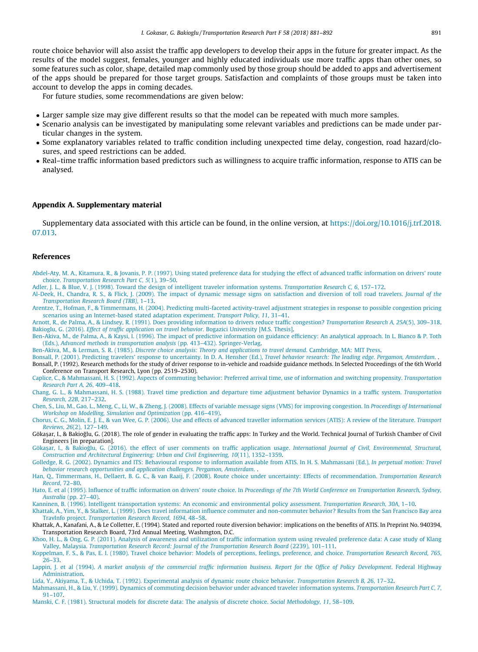<span id="page-10-0"></span>route choice behavior will also assist the traffic app developers to develop their apps in the future for greater impact. As the results of the model suggest, females, younger and highly educated individuals use more traffic apps than other ones, so some features such as color, shape, detailed map commonly used by those group should be added to apps and advertisement of the apps should be prepared for those target groups. Satisfaction and complaints of those groups must be taken into account to develop the apps in coming decades.

For future studies, some recommendations are given below:

- Larger sample size may give different results so that the model can be repeated with much more samples.
- Scenario analysis can be investigated by manipulating some relevant variables and predictions can be made under particular changes in the system.
- Some explanatory variables related to traffic condition including unexpected time delay, congestion, road hazard/closures, and speed restrictions can be added.
- Real–time traffic information based predictors such as willingness to acquire traffic information, response to ATIS can be analysed.

#### Appendix A. Supplementary material

Supplementary data associated with this article can be found, in the online version, at [https://doi.org/10.1016/j.trf.2018.](https://doi.org/10.1016/j.trf.2018.07.013) [07.013](https://doi.org/10.1016/j.trf.2018.07.013).

#### References

- [Abdel-Aty, M. A., Kitamura, R., & Jovanis, P. P. \(1997\). Using stated preference data for studying the effect of advanced traffic information on drivers' route](http://refhub.elsevier.com/S1369-8478(17)30627-7/h0010) choice. [Transportation Research Part C, 5](http://refhub.elsevier.com/S1369-8478(17)30627-7/h0010)(1), 39–50.
- [Adler, J. L., & Blue, V. J. \(1998\). Toward the design of intelligent traveler information systems.](http://refhub.elsevier.com/S1369-8478(17)30627-7/h0015) Transportation Research C, 6, 157–172.
- [Al-Deek, H., Chandra, R. S., & Flick, J. \(2009\). The impact of dynamic message signs on satisfaction and diversion of toll road travelers.](http://refhub.elsevier.com/S1369-8478(17)30627-7/h0020) Journal of the [Transportation Research Board \(TRB\)](http://refhub.elsevier.com/S1369-8478(17)30627-7/h0020), 1–13.
- [Arentze, T., Hofman, F., & Timmermans, H. \(2004\). Predicting multi-faceted activity-travel adjustment strategies in response to possible congestion pricing](http://refhub.elsevier.com/S1369-8478(17)30627-7/h0025) [scenarios using an Internet-based stated adaptation experiment.](http://refhub.elsevier.com/S1369-8478(17)30627-7/h0025) Transport Policy, 11, 31–41.
- [Arnott, R., de Palma, A., & Lindsey, R. \(1991\). Does providing information to drivers reduce traffic congestion?](http://refhub.elsevier.com/S1369-8478(17)30627-7/h0030) Transportation Research A, 25A(5), 309–318. Bakioglu, G. (2016). [Effect of traffic application on travel behavior](http://refhub.elsevier.com/S1369-8478(17)30627-7/h0035). Bogazici University [M.S. Thesis].
- [Ben-Akiva, M., de Palma, A., & Kaysi, I. \(1996\). The impact of predictive information on guidance efficiency: An analytical approach. In L. Bianco & P. Toth](http://refhub.elsevier.com/S1369-8478(17)30627-7/h0040) (Eds.), [Advanced methods in transportation analysis](http://refhub.elsevier.com/S1369-8478(17)30627-7/h0040) (pp. 413–432). Springer-Verlag.
- Ben-Akiva, M., & Lerman, S. R. (1985). [Discrete choice analysis: Theory and applications to travel demand](http://refhub.elsevier.com/S1369-8478(17)30627-7/h0045). Cambridge, MA: MIT Press.
- [Bonsall, P. \(2001\). Predicting travelers' response to uncertainty. In D. A. Hensher \(Ed.\),](http://refhub.elsevier.com/S1369-8478(17)30627-7/h0050) Travel behavior research: The leading edge. Pergamon, Amsterdam.
- Bonsall, P. (1992). Research methods for the study of driver response to in-vehicle and roadside guidance methods. In Selected Proceedings of the 6th World Conference on Transport Research, Lyon (pp. 2519–2530).
- [Caplice, C., & Mahmassani, H. S. \(1992\). Aspects of commuting behavior: Preferred arrival time, use of information and switching propensity.](http://refhub.elsevier.com/S1369-8478(17)30627-7/h0060) Transportation [Research Part A, 26](http://refhub.elsevier.com/S1369-8478(17)30627-7/h0060), 409–418.
- [Chang, G. L., & Mahmassani, H. S. \(1988\). Travel time prediction and departure time adjustment behavior Dynamics in a traffic system.](http://refhub.elsevier.com/S1369-8478(17)30627-7/h0065) Transportation [Research, 22B](http://refhub.elsevier.com/S1369-8478(17)30627-7/h0065), 217–232.
- [Chen, S., Liu, M., Gao, L., Meng, C., Li, W., & Zheng, J. \(2008\). Effects of variable message signs \(VMS\) for improving congestion. In](http://refhub.elsevier.com/S1369-8478(17)30627-7/h0070) Proceedings of International [Workshop on Modelling, Simulation and Optimization](http://refhub.elsevier.com/S1369-8478(17)30627-7/h0070) (pp. 416–419).
- [Chorus, C. G., Molin, E. J. E., & van Wee, G. P. \(2006\). Use and effects of advanced traveller information services \(ATIS\): A review of the literature.](http://refhub.elsevier.com/S1369-8478(17)30627-7/h0075) Transport Reviews, 26[\(2\), 127–149.](http://refhub.elsevier.com/S1369-8478(17)30627-7/h0075)
- Gökaşar, I., & Bakioğlu, G. (2018). The role of gender in evaluating the traffic apps: In Turkey and the World. Technical Journal of Turkish Chamber of Civil Engineers [in preparation].
- [Göka](http://refhub.elsevier.com/S1369-8478(17)30627-7/h0085)sar, I., & Bakioğlu, G. (2016). the effect of user comments on traffic application usage. International Journal of Civil, Environmental, Structural, [Construction and Architectural Engineering: Urban and Civil Engineering, 10](http://refhub.elsevier.com/S1369-8478(17)30627-7/h0085)(11), 1352–1359.
- [Golledge, R. G. \(2002\). Dynamics and ITS: Behavioural response to information available from ATIS. In H. S. Mahmassani \(Ed.\),](http://refhub.elsevier.com/S1369-8478(17)30627-7/h0090) In perpetual motion: Travel [behavior research opportunities and application challenges. Pergamon, Amsterdam](http://refhub.elsevier.com/S1369-8478(17)30627-7/h0090). .
- [Han, Q., Timmermans, H., Dellaert, B. G. C., & van Raaij, F. \(2008\). Route choice under uncertainty: Effects of recommendation.](http://refhub.elsevier.com/S1369-8478(17)30627-7/h0095) Transportation Research Record[, 72–80.](http://refhub.elsevier.com/S1369-8478(17)30627-7/h0095)
- [Hato, E. et al \(1995\). Influence of traffic information on drivers' route choice. In](http://refhub.elsevier.com/S1369-8478(17)30627-7/h0100) Proceedings of the 7th World Conference on Transportation Research, Sydney, Australia [\(pp. 27–40\)](http://refhub.elsevier.com/S1369-8478(17)30627-7/h0100).

[Kanninen, B. \(1996\). Intelligent transportation systems: An economic and environmental policy assessment.](http://refhub.elsevier.com/S1369-8478(17)30627-7/h0105) Transportation Research, 30A, 1–10.

- [Khattak, A., Yim, Y., & Stalker, L. \(1999\). Does travel information influence commuter and non-commuter behavior? Results from the San Francisco Bay area](http://refhub.elsevier.com/S1369-8478(17)30627-7/h0110) TravInfo project. [Transportation Research Record, 1694](http://refhub.elsevier.com/S1369-8478(17)30627-7/h0110), 48–58.
- Khattak, A., Kanafani, A., & Le Colletter, E. (1994). Stated and reported route diversion behavior: implications on the benefits of ATIS. In Preprint No. 940394, Transportation Research Board, 73rd Annual Meeting, Washmgton, D.C.
- [Khoo, H. L., & Ong, G. P. \(2011\). Analysis of awareness and utilization of traffic information system using revealed preference data: A case study of Klang](http://refhub.elsevier.com/S1369-8478(17)30627-7/h0120) Valley, Malaysia. [Transportation Research Record: Journal of the Transportation Research Board](http://refhub.elsevier.com/S1369-8478(17)30627-7/h0120) (2239), 101–111.
- [Koppelman, F. S., & Pas, E. I. \(1980\). Travel choice behavior: Models of perceptions, feelings, preference, and choice.](http://refhub.elsevier.com/S1369-8478(17)30627-7/h0125) Transportation Research Record, 765, [26–33.](http://refhub.elsevier.com/S1369-8478(17)30627-7/h0125)
- Lappin, J. et al (1994). [A market analysis of the commercial traffic information business. Report for the Office of Policy Development](http://refhub.elsevier.com/S1369-8478(17)30627-7/h0130). Federal Highway [Administration.](http://refhub.elsevier.com/S1369-8478(17)30627-7/h0130)

[Lida, Y., Akiyama, T., & Uchida, T. \(1992\). Experimental analysis of dynamic route choice behavior.](http://refhub.elsevier.com/S1369-8478(17)30627-7/h0135) Transportation Research B, 26, 17–32.

[Mahmassani, H., & Liu, Y. \(1999\). Dynamics of commuting decision behavior under advanced traveler information systems.](http://refhub.elsevier.com/S1369-8478(17)30627-7/h0140) Transportation Research Part C, 7, [91–107.](http://refhub.elsevier.com/S1369-8478(17)30627-7/h0140)

[Manski, C. F. \(1981\). Structural models for discrete data: The analysis of discrete choice.](http://refhub.elsevier.com/S1369-8478(17)30627-7/h0150) Social Methodology, 11, 58–109.